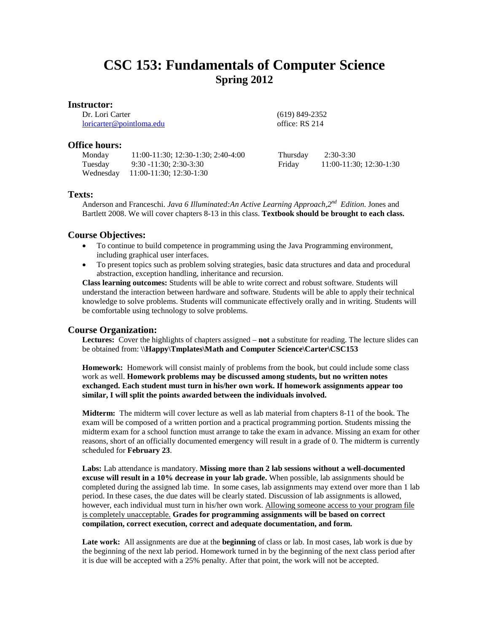# **CSC 153: Fundamentals of Computer Science Spring 2012**

 (619) 849-2352 office: RS 214

## **Instructor:**

Dr. Lori Carter [loricarter@pointloma.edu](mailto:loricarter@pointloma.edu)

**Office hours:**

Monday 11:00-11:30; 12:30-1:30; 2:40-4:00 Tuesday 9:30 -11:30; 2:30-3:30 Wednesday 11:00-11:30; 12:30-1:30 Thursday 2:30-3:30 Friday 11:00-11:30; 12:30-1:30

# **Texts:**

Anderson and Franceschi. *Java 6 Illuminated:An Active Learning Approach,2nd Edition.* Jones and Bartlett 2008. We will cover chapters 8-13 in this class. **Textbook should be brought to each class.**

# **Course Objectives:**

- To continue to build competence in programming using the Java Programming environment, including graphical user interfaces.
- To present topics such as problem solving strategies, basic data structures and data and procedural abstraction, exception handling, inheritance and recursion.

**Class learning outcomes:** Students will be able to write correct and robust software. Students will understand the interaction between hardware and software. Students will be able to apply their technical knowledge to solve problems. Students will communicate effectively orally and in writing. Students will be comfortable using technology to solve problems.

# **Course Organization:**

**Lectures:** Cover the highlights of chapters assigned – **not** a substitute for reading. The lecture slides can be obtained from: **\\Happy\Tmplates\Math and Computer Science\Carter\CSC153**

**Homework:** Homework will consist mainly of problems from the book, but could include some class work as well. **Homework problems may be discussed among students, but no written notes exchanged. Each student must turn in his/her own work. If homework assignments appear too similar, I will split the points awarded between the individuals involved.** 

**Midterm:** The midterm will cover lecture as well as lab material from chapters 8-11 of the book. The exam will be composed of a written portion and a practical programming portion. Students missing the midterm exam for a school function must arrange to take the exam in advance. Missing an exam for other reasons, short of an officially documented emergency will result in a grade of 0. The midterm is currently scheduled for **February 23**.

**Labs:** Lab attendance is mandatory. **Missing more than 2 lab sessions without a well-documented excuse will result in a 10% decrease in your lab grade.** When possible, lab assignments should be completed during the assigned lab time. In some cases, lab assignments may extend over more than 1 lab period. In these cases, the due dates will be clearly stated. Discussion of lab assignments is allowed, however, each individual must turn in his/her own work. Allowing someone access to your program file is completely unacceptable. **Grades for programming assignments will be based on correct compilation, correct execution, correct and adequate documentation, and form.** 

**Late work:** All assignments are due at the **beginning** of class or lab. In most cases, lab work is due by the beginning of the next lab period. Homework turned in by the beginning of the next class period after it is due will be accepted with a 25% penalty. After that point, the work will not be accepted.